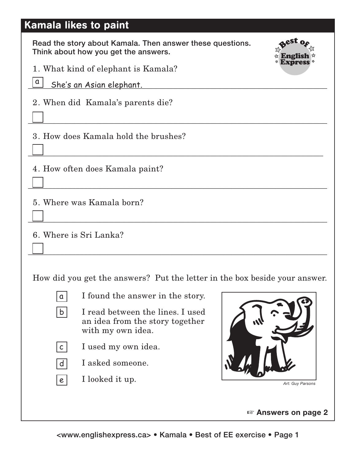## Kamala likes to paint

Read the story about Kamala. Then answer these questions. Think about how you get the answers.



1. What kind of elephant is Kamala?

| ×<br>. .<br>- |
|---------------|
|---------------|

\_\_\_\_\_\_\_\_\_\_\_\_\_\_\_\_\_\_\_\_\_\_\_\_\_\_\_\_\_\_\_\_\_\_\_\_\_\_\_\_\_\_\_\_\_\_\_\_\_\_\_\_\_\_\_\_\_\_\_\_\_\_\_\_\_\_\_\_\_\_\_\_\_\_\_ She's an Asian elephant.

2. When did Kamala's parents die?

3. How does Kamala hold the brushes?

4. How often does Kamala paint?

5. Where was Kamala born?

6. Where is Sri Lanka?

How did you get the answers? Put the letter in the box beside your answer.

\_\_\_\_\_\_\_\_\_\_\_\_\_\_\_\_\_\_\_\_\_\_\_\_\_\_\_\_\_\_\_\_\_\_\_\_\_\_\_\_\_\_\_\_\_\_\_\_\_\_\_\_\_\_\_\_\_\_\_\_\_\_\_\_\_\_\_\_\_\_\_\_\_\_\_

\_\_\_\_\_\_\_\_\_\_\_\_\_\_\_\_\_\_\_\_\_\_\_\_\_\_\_\_\_\_\_\_\_\_\_\_\_\_\_\_\_\_\_\_\_\_\_\_\_\_\_\_\_\_\_\_\_\_\_\_\_\_\_\_\_\_\_\_\_\_\_\_\_\_

\_\_\_\_\_\_\_\_\_\_\_\_\_\_\_\_\_\_\_\_\_\_\_\_\_\_\_\_\_\_\_\_\_\_\_\_\_\_\_\_\_\_\_\_\_\_\_\_\_\_\_\_\_\_\_\_\_\_\_\_\_\_\_\_\_\_\_\_\_\_\_\_\_\_\_

\_\_\_\_\_\_\_\_\_\_\_\_\_\_\_\_\_\_\_\_\_\_\_\_\_\_\_\_\_\_\_\_\_\_\_\_\_\_\_\_\_\_\_\_\_\_\_\_\_\_\_\_\_\_\_\_\_\_\_\_\_\_\_\_\_\_\_\_\_\_\_\_\_\_\_

\_\_\_\_\_\_\_\_\_\_\_\_\_\_\_\_\_\_\_\_\_\_\_\_\_\_\_\_\_\_\_\_\_\_\_\_\_\_\_\_\_\_\_\_\_\_\_\_\_\_\_\_\_\_\_\_\_\_\_\_\_\_\_\_\_\_\_\_\_\_\_\_\_\_\_



b

I found the answer in the story.

- I read between the lines. I used an idea from the story together with my own idea.
- I used my own idea.  $c<sub>1</sub>$
- d

e

- I asked someone.
- I looked it up.



*Art: Guy Parsons*

+ **Answers on page 2**